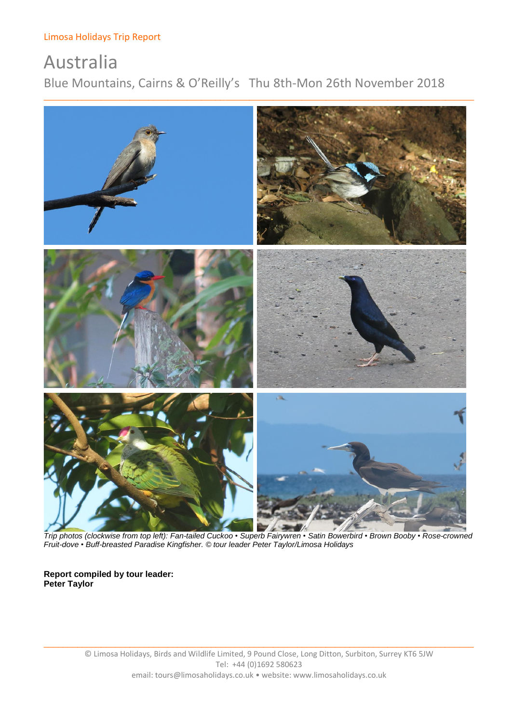# Australia

Blue Mountains, Cairns & O'Reilly's Thu 8th-Mon 26th November 2018



 *Trip photos (clockwise from top left): Fan-tailed Cuckoo • Superb Fairywren • Satin Bowerbird • Brown Booby • Rose-crowned Fruit-dove • Buff-breasted Paradise Kingfisher. © tour leader Peter Taylor/Limosa Holidays*

### **Report compiled by tour leader: Peter Taylor**

 $\Box$  , and the contribution of the contribution of the contribution of the contribution of the contribution of the contribution of the contribution of the contribution of the contribution of the contribution of the contri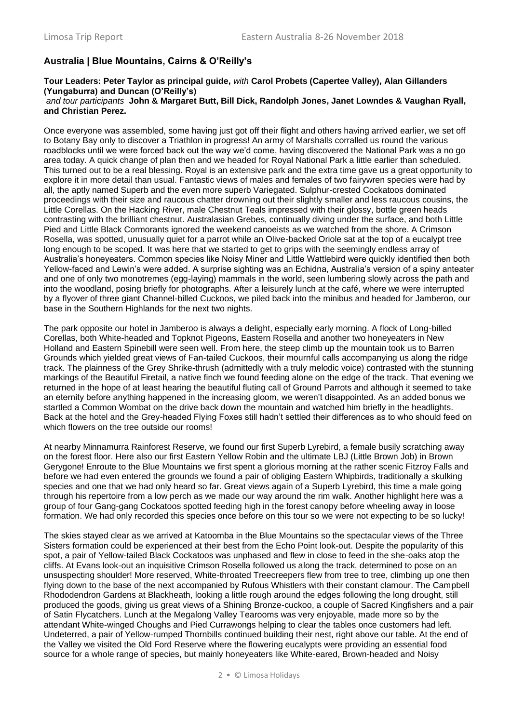### **Australia | Blue Mountains, Cairns & O'Reilly's**

#### **Tour Leaders: Peter Taylor as principal guide,** *with* **Carol Probets (Capertee Valley), Alan Gillanders (Yungaburra) and Duncan (O'Reilly's)** *and tour participants* **John & Margaret Butt, Bill Dick, Randolph Jones, Janet Lowndes & Vaughan Ryall, and Christian Perez.**

Once everyone was assembled, some having just got off their flight and others having arrived earlier, we set off to Botany Bay only to discover a Triathlon in progress! An army of Marshalls corralled us round the various roadblocks until we were forced back out the way we'd come, having discovered the National Park was a no go area today. A quick change of plan then and we headed for Royal National Park a little earlier than scheduled. This turned out to be a real blessing. Royal is an extensive park and the extra time gave us a great opportunity to explore it in more detail than usual. Fantastic views of males and females of two fairywren species were had by all, the aptly named Superb and the even more superb Variegated. Sulphur-crested Cockatoos dominated proceedings with their size and raucous chatter drowning out their slightly smaller and less raucous cousins, the Little Corellas. On the Hacking River, male Chestnut Teals impressed with their glossy, bottle green heads contrasting with the brilliant chestnut. Australasian Grebes, continually diving under the surface, and both Little Pied and Little Black Cormorants ignored the weekend canoeists as we watched from the shore. A Crimson Rosella, was spotted, unusually quiet for a parrot while an Olive-backed Oriole sat at the top of a eucalypt tree long enough to be scoped. It was here that we started to get to grips with the seemingly endless array of Australia's honeyeaters. Common species like Noisy Miner and Little Wattlebird were quickly identified then both Yellow-faced and Lewin's were added. A surprise sighting was an Echidna, Australia's version of a spiny anteater and one of only two monotremes (egg-laying) mammals in the world, seen lumbering slowly across the path and into the woodland, posing briefly for photographs. After a leisurely lunch at the café, where we were interrupted by a flyover of three giant Channel-billed Cuckoos, we piled back into the minibus and headed for Jamberoo, our base in the Southern Highlands for the next two nights.

The park opposite our hotel in Jamberoo is always a delight, especially early morning. A flock of Long-billed Corellas, both White-headed and Topknot Pigeons, Eastern Rosella and another two honeyeaters in New Holland and Eastern Spinebill were seen well. From here, the steep climb up the mountain took us to Barren Grounds which yielded great views of Fan-tailed Cuckoos, their mournful calls accompanying us along the ridge track. The plainness of the Grey Shrike-thrush (admittedly with a truly melodic voice) contrasted with the stunning markings of the Beautiful Firetail, a native finch we found feeding alone on the edge of the track. That evening we returned in the hope of at least hearing the beautiful fluting call of Ground Parrots and although it seemed to take an eternity before anything happened in the increasing gloom, we weren't disappointed. As an added bonus we startled a Common Wombat on the drive back down the mountain and watched him briefly in the headlights. Back at the hotel and the Grey-headed Flying Foxes still hadn't settled their differences as to who should feed on which flowers on the tree outside our rooms!

At nearby Minnamurra Rainforest Reserve, we found our first Superb Lyrebird, a female busily scratching away on the forest floor. Here also our first Eastern Yellow Robin and the ultimate LBJ (Little Brown Job) in Brown Gerygone! Enroute to the Blue Mountains we first spent a glorious morning at the rather scenic Fitzroy Falls and before we had even entered the grounds we found a pair of obliging Eastern Whipbirds, traditionally a skulking species and one that we had only heard so far. Great views again of a Superb Lyrebird, this time a male going through his repertoire from a low perch as we made our way around the rim walk. Another highlight here was a group of four Gang-gang Cockatoos spotted feeding high in the forest canopy before wheeling away in loose formation. We had only recorded this species once before on this tour so we were not expecting to be so lucky!

The skies stayed clear as we arrived at Katoomba in the Blue Mountains so the spectacular views of the Three Sisters formation could be experienced at their best from the Echo Point look-out. Despite the popularity of this spot, a pair of Yellow-tailed Black Cockatoos was unphased and flew in close to feed in the she-oaks atop the cliffs. At Evans look-out an inquisitive Crimson Rosella followed us along the track, determined to pose on an unsuspecting shoulder! More reserved, White-throated Treecreepers flew from tree to tree, climbing up one then flying down to the base of the next accompanied by Rufous Whistlers with their constant clamour. The Campbell Rhododendron Gardens at Blackheath, looking a little rough around the edges following the long drought, still produced the goods, giving us great views of a Shining Bronze-cuckoo, a couple of Sacred Kingfishers and a pair of Satin Flycatchers. Lunch at the Megalong Valley Tearooms was very enjoyable, made more so by the attendant White-winged Choughs and Pied Currawongs helping to clear the tables once customers had left. Undeterred, a pair of Yellow-rumped Thornbills continued building their nest, right above our table. At the end of the Valley we visited the Old Ford Reserve where the flowering eucalypts were providing an essential food source for a whole range of species, but mainly honeyeaters like White-eared, Brown-headed and Noisy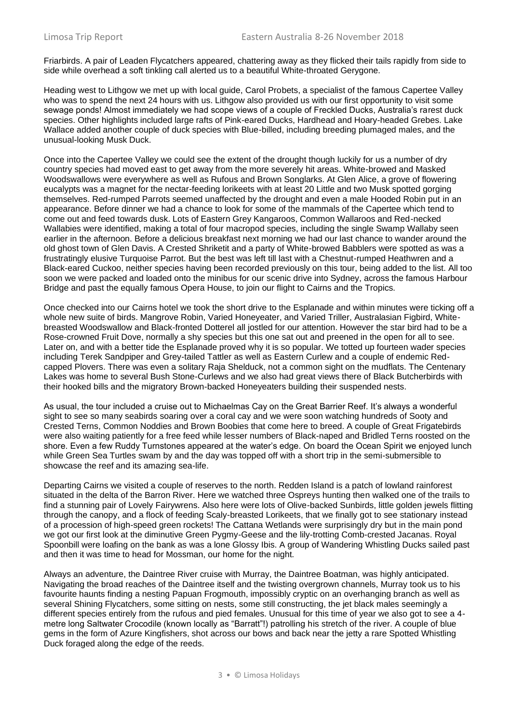Friarbirds. A pair of Leaden Flycatchers appeared, chattering away as they flicked their tails rapidly from side to side while overhead a soft tinkling call alerted us to a beautiful White-throated Gerygone.

Heading west to Lithgow we met up with local guide, Carol Probets, a specialist of the famous Capertee Valley who was to spend the next 24 hours with us. Lithgow also provided us with our first opportunity to visit some sewage ponds! Almost immediately we had scope views of a couple of Freckled Ducks, Australia's rarest duck species. Other highlights included large rafts of Pink-eared Ducks, Hardhead and Hoary-headed Grebes. Lake Wallace added another couple of duck species with Blue-billed, including breeding plumaged males, and the unusual-looking Musk Duck.

Once into the Capertee Valley we could see the extent of the drought though luckily for us a number of dry country species had moved east to get away from the more severely hit areas. White-browed and Masked Woodswallows were everywhere as well as Rufous and Brown Songlarks. At Glen Alice, a grove of flowering eucalypts was a magnet for the nectar-feeding lorikeets with at least 20 Little and two Musk spotted gorging themselves. Red-rumped Parrots seemed unaffected by the drought and even a male Hooded Robin put in an appearance. Before dinner we had a chance to look for some of the mammals of the Capertee which tend to come out and feed towards dusk. Lots of Eastern Grey Kangaroos, Common Wallaroos and Red-necked Wallabies were identified, making a total of four macropod species, including the single Swamp Wallaby seen earlier in the afternoon. Before a delicious breakfast next morning we had our last chance to wander around the old ghost town of Glen Davis. A Crested Shriketit and a party of White-browed Babblers were spotted as was a frustratingly elusive Turquoise Parrot. But the best was left till last with a Chestnut-rumped Heathwren and a Black-eared Cuckoo, neither species having been recorded previously on this tour, being added to the list. All too soon we were packed and loaded onto the minibus for our scenic drive into Sydney, across the famous Harbour Bridge and past the equally famous Opera House, to join our flight to Cairns and the Tropics.

Once checked into our Cairns hotel we took the short drive to the Esplanade and within minutes were ticking off a whole new suite of birds. Mangrove Robin, Varied Honeyeater, and Varied Triller, Australasian Figbird, Whitebreasted Woodswallow and Black-fronted Dotterel all jostled for our attention. However the star bird had to be a Rose-crowned Fruit Dove, normally a shy species but this one sat out and preened in the open for all to see. Later on, and with a better tide the Esplanade proved why it is so popular. We totted up fourteen wader species including Terek Sandpiper and Grey-tailed Tattler as well as Eastern Curlew and a couple of endemic Redcapped Plovers. There was even a solitary Raja Shelduck, not a common sight on the mudflats. The Centenary Lakes was home to several Bush Stone-Curlews and we also had great views there of Black Butcherbirds with their hooked bills and the migratory Brown-backed Honeyeaters building their suspended nests.

As usual, the tour included a cruise out to Michaelmas Cay on the Great Barrier Reef. It's always a wonderful sight to see so many seabirds soaring over a coral cay and we were soon watching hundreds of Sooty and Crested Terns, Common Noddies and Brown Boobies that come here to breed. A couple of Great Frigatebirds were also waiting patiently for a free feed while lesser numbers of Black-naped and Bridled Terns roosted on the shore. Even a few Ruddy Turnstones appeared at the water's edge. On board the Ocean Spirit we enjoyed lunch while Green Sea Turtles swam by and the day was topped off with a short trip in the semi-submersible to showcase the reef and its amazing sea-life.

Departing Cairns we visited a couple of reserves to the north. Redden Island is a patch of lowland rainforest situated in the delta of the Barron River. Here we watched three Ospreys hunting then walked one of the trails to find a stunning pair of Lovely Fairywrens. Also here were lots of Olive-backed Sunbirds, little golden jewels flitting through the canopy, and a flock of feeding Scaly-breasted Lorikeets, that we finally got to see stationary instead of a procession of high-speed green rockets! The Cattana Wetlands were surprisingly dry but in the main pond we got our first look at the diminutive Green Pygmy-Geese and the lily-trotting Comb-crested Jacanas. Royal Spoonbill were loafing on the bank as was a lone Glossy Ibis. A group of Wandering Whistling Ducks sailed past and then it was time to head for Mossman, our home for the night.

Always an adventure, the Daintree River cruise with Murray, the Daintree Boatman, was highly anticipated. Navigating the broad reaches of the Daintree itself and the twisting overgrown channels, Murray took us to his favourite haunts finding a nesting Papuan Frogmouth, impossibly cryptic on an overhanging branch as well as several Shining Flycatchers, some sitting on nests, some still constructing, the jet black males seemingly a different species entirely from the rufous and pied females. Unusual for this time of year we also got to see a 4 metre long Saltwater Crocodile (known locally as "Barratt"!) patrolling his stretch of the river. A couple of blue gems in the form of Azure Kingfishers, shot across our bows and back near the jetty a rare Spotted Whistling Duck foraged along the edge of the reeds.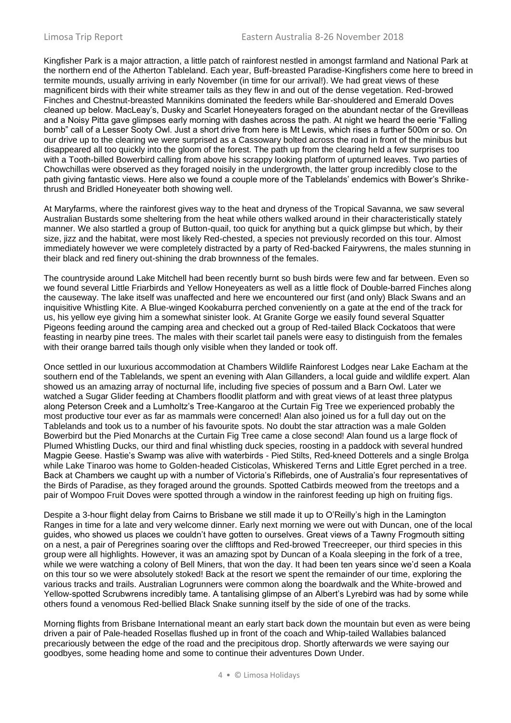Kingfisher Park is a major attraction, a little patch of rainforest nestled in amongst farmland and National Park at the northern end of the Atherton Tableland. Each year, Buff-breasted Paradise-Kingfishers come here to breed in termite mounds, usually arriving in early November (in time for our arrival!). We had great views of these magnificent birds with their white streamer tails as they flew in and out of the dense vegetation. Red-browed Finches and Chestnut-breasted Mannikins dominated the feeders while Bar-shouldered and Emerald Doves cleaned up below. MacLeay's, Dusky and Scarlet Honeyeaters foraged on the abundant nectar of the Grevilleas and a Noisy Pitta gave glimpses early morning with dashes across the path. At night we heard the eerie "Falling bomb" call of a Lesser Sooty Owl. Just a short drive from here is Mt Lewis, which rises a further 500m or so. On our drive up to the clearing we were surprised as a Cassowary bolted across the road in front of the minibus but disappeared all too quickly into the gloom of the forest. The path up from the clearing held a few surprises too with a Tooth-billed Bowerbird calling from above his scrappy looking platform of upturned leaves. Two parties of Chowchillas were observed as they foraged noisily in the undergrowth, the latter group incredibly close to the path giving fantastic views. Here also we found a couple more of the Tablelands' endemics with Bower's Shrikethrush and Bridled Honeyeater both showing well.

At Maryfarms, where the rainforest gives way to the heat and dryness of the Tropical Savanna, we saw several Australian Bustards some sheltering from the heat while others walked around in their characteristically stately manner. We also startled a group of Button-quail, too quick for anything but a quick glimpse but which, by their size, jizz and the habitat, were most likely Red-chested, a species not previously recorded on this tour. Almost immediately however we were completely distracted by a party of Red-backed Fairywrens, the males stunning in their black and red finery out-shining the drab brownness of the females.

The countryside around Lake Mitchell had been recently burnt so bush birds were few and far between. Even so we found several Little Friarbirds and Yellow Honeyeaters as well as a little flock of Double-barred Finches along the causeway. The lake itself was unaffected and here we encountered our first (and only) Black Swans and an inquisitive Whistling Kite. A Blue-winged Kookaburra perched conveniently on a gate at the end of the track for us, his yellow eye giving him a somewhat sinister look. At Granite Gorge we easily found several Squatter Pigeons feeding around the camping area and checked out a group of Red-tailed Black Cockatoos that were feasting in nearby pine trees. The males with their scarlet tail panels were easy to distinguish from the females with their orange barred tails though only visible when they landed or took off.

Once settled in our luxurious accommodation at Chambers Wildlife Rainforest Lodges near Lake Eacham at the southern end of the Tablelands, we spent an evening with Alan Gillanders, a local guide and wildlife expert. Alan showed us an amazing array of nocturnal life, including five species of possum and a Barn Owl. Later we watched a Sugar Glider feeding at Chambers floodlit platform and with great views of at least three platypus along Peterson Creek and a Lumholtz's Tree-Kangaroo at the Curtain Fig Tree we experienced probably the most productive tour ever as far as mammals were concerned! Alan also joined us for a full day out on the Tablelands and took us to a number of his favourite spots. No doubt the star attraction was a male Golden Bowerbird but the Pied Monarchs at the Curtain Fig Tree came a close second! Alan found us a large flock of Plumed Whistling Ducks, our third and final whistling duck species, roosting in a paddock with several hundred Magpie Geese. Hastie's Swamp was alive with waterbirds - Pied Stilts, Red-kneed Dotterels and a single Brolga while Lake Tinaroo was home to Golden-headed Cisticolas, Whiskered Terns and Little Egret perched in a tree. Back at Chambers we caught up with a number of Victoria's Riflebirds, one of Australia's four representatives of the Birds of Paradise, as they foraged around the grounds. Spotted Catbirds meowed from the treetops and a pair of Wompoo Fruit Doves were spotted through a window in the rainforest feeding up high on fruiting figs.

Despite a 3-hour flight delay from Cairns to Brisbane we still made it up to O'Reilly's high in the Lamington Ranges in time for a late and very welcome dinner. Early next morning we were out with Duncan, one of the local guides, who showed us places we couldn't have gotten to ourselves. Great views of a Tawny Frogmouth sitting on a nest, a pair of Peregrines soaring over the clifftops and Red-browed Treecreeper, our third species in this group were all highlights. However, it was an amazing spot by Duncan of a Koala sleeping in the fork of a tree, while we were watching a colony of Bell Miners, that won the day. It had been ten years since we'd seen a Koala on this tour so we were absolutely stoked! Back at the resort we spent the remainder of our time, exploring the various tracks and trails. Australian Logrunners were common along the boardwalk and the White-browed and Yellow-spotted Scrubwrens incredibly tame. A tantalising glimpse of an Albert's Lyrebird was had by some while others found a venomous Red-bellied Black Snake sunning itself by the side of one of the tracks.

Morning flights from Brisbane International meant an early start back down the mountain but even as were being driven a pair of Pale-headed Rosellas flushed up in front of the coach and Whip-tailed Wallabies balanced precariously between the edge of the road and the precipitous drop. Shortly afterwards we were saying our goodbyes, some heading home and some to continue their adventures Down Under.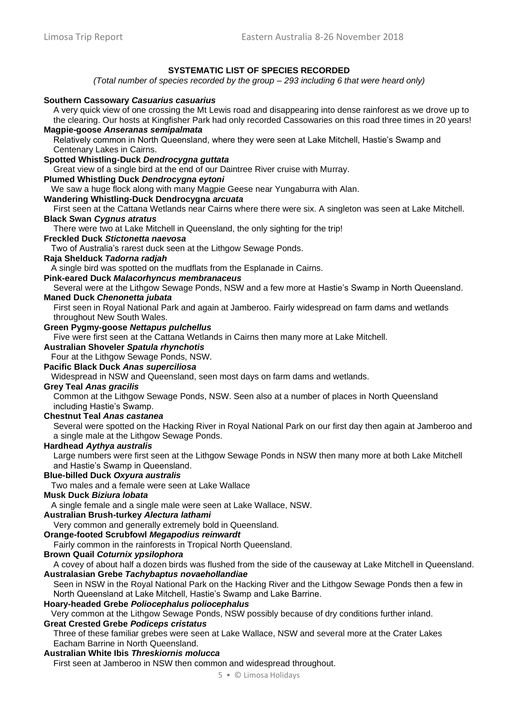### **SYSTEMATIC LIST OF SPECIES RECORDED**

*(Total number of species recorded by the group – 293 including 6 that were heard only)*

#### **Southern Cassowary** *Casuarius casuarius*

A very quick view of one crossing the Mt Lewis road and disappearing into dense rainforest as we drove up to the clearing. Our hosts at Kingfisher Park had only recorded Cassowaries on this road three times in 20 years!

### **Magpie-goose** *Anseranas semipalmata*

Relatively common in North Queensland, where they were seen at Lake Mitchell, Hastie's Swamp and Centenary Lakes in Cairns.

### **Spotted Whistling-Duck** *Dendrocygna guttata*

Great view of a single bird at the end of our Daintree River cruise with Murray.

### **Plumed Whistling Duck** *Dendrocygna eytoni*

We saw a huge flock along with many Magpie Geese near Yungaburra with Alan.

#### **Wandering Whistling-Duck Dendrocygna** *arcuata*

First seen at the Cattana Wetlands near Cairns where there were six. A singleton was seen at Lake Mitchell. **Black Swan** *Cygnus atratus* 

There were two at Lake Mitchell in Queensland, the only sighting for the trip!

#### **Freckled Duck** *Stictonetta naevosa*

Two of Australia's rarest duck seen at the Lithgow Sewage Ponds.

#### **Raja Shelduck** *Tadorna radjah*

A single bird was spotted on the mudflats from the Esplanade in Cairns.

### **Pink-eared Duck** *Malacorhyncus membranaceus*

Several were at the Lithgow Sewage Ponds, NSW and a few more at Hastie's Swamp in North Queensland. **Maned Duck** *Chenonetta jubata* 

First seen in Royal National Park and again at Jamberoo. Fairly widespread on farm dams and wetlands throughout New South Wales.

#### **Green Pygmy-goose** *Nettapus pulchellus*

Five were first seen at the Cattana Wetlands in Cairns then many more at Lake Mitchell.

### **Australian Shoveler** *Spatula rhynchotis*

Four at the Lithgow Sewage Ponds, NSW.

### **Pacific Black Duck** *Anas superciliosa*

Widespread in NSW and Queensland, seen most days on farm dams and wetlands.

### **Grey Teal** *Anas gracilis*

Common at the Lithgow Sewage Ponds, NSW. Seen also at a number of places in North Queensland including Hastie's Swamp.

### **Chestnut Teal** *Anas castanea*

Several were spotted on the Hacking River in Royal National Park on our first day then again at Jamberoo and a single male at the Lithgow Sewage Ponds.

#### **Hardhead** *Aythya australis*

Large numbers were first seen at the Lithgow Sewage Ponds in NSW then many more at both Lake Mitchell and Hastie's Swamp in Queensland.

### **Blue-billed Duck** *Oxyura australis*

Two males and a female were seen at Lake Wallace

### **Musk Duck** *Biziura lobata*

A single female and a single male were seen at Lake Wallace, NSW.

#### **Australian Brush-turkey** *Alectura lathami*

Very common and generally extremely bold in Queensland.

### **Orange-footed Scrubfowl** *Megapodius reinwardt*

Fairly common in the rainforests in Tropical North Queensland.

### **Brown Quail** *Coturnix ypsilophora*

A covey of about half a dozen birds was flushed from the side of the causeway at Lake Mitchell in Queensland. **Australasian Grebe** *Tachybaptus novaehollandiae* 

Seen in NSW in the Royal National Park on the Hacking River and the Lithgow Sewage Ponds then a few in North Queensland at Lake Mitchell, Hastie's Swamp and Lake Barrine.

#### **Hoary-headed Grebe** *Poliocephalus poliocephalus*

Very common at the Lithgow Sewage Ponds, NSW possibly because of dry conditions further inland.

### **Great Crested Grebe** *Podiceps cristatus*

Three of these familiar grebes were seen at Lake Wallace, NSW and several more at the Crater Lakes Eacham Barrine in North Queensland.

### **Australian White Ibis** *Threskiornis molucca*

First seen at Jamberoo in NSW then common and widespread throughout.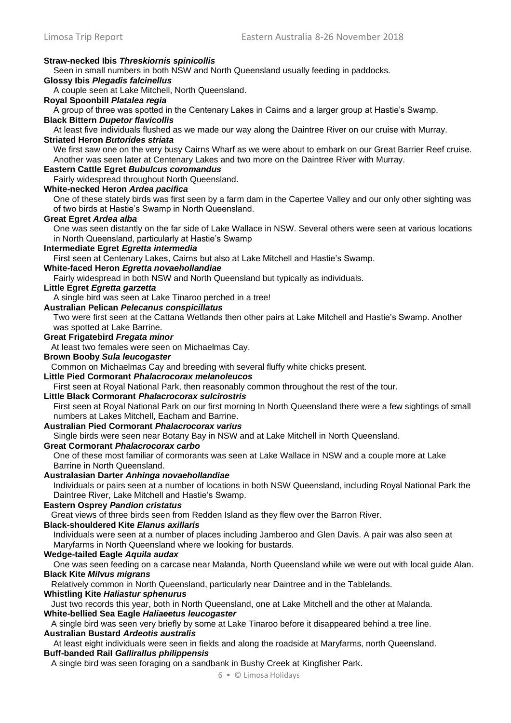### **Straw-necked Ibis** *Threskiornis spinicollis*

Seen in small numbers in both NSW and North Queensland usually feeding in paddocks.

**Glossy Ibis** *Plegadis falcinellus* 

A couple seen at Lake Mitchell, North Queensland.

### **Royal Spoonbill** *Platalea regia*

A group of three was spotted in the Centenary Lakes in Cairns and a larger group at Hastie's Swamp.

#### **Black Bittern** *Dupetor flavicollis*

At least five individuals flushed as we made our way along the Daintree River on our cruise with Murray.

### **Striated Heron** *Butorides striata*

We first saw one on the very busy Cairns Wharf as we were about to embark on our Great Barrier Reef cruise. Another was seen later at Centenary Lakes and two more on the Daintree River with Murray.

### **Eastern Cattle Egret** *Bubulcus coromandus*

Fairly widespread throughout North Queensland.

### **White-necked Heron** *Ardea pacifica*

One of these stately birds was first seen by a farm dam in the Capertee Valley and our only other sighting was of two birds at Hastie's Swamp in North Queensland.

#### **Great Egret** *Ardea alba*

One was seen distantly on the far side of Lake Wallace in NSW. Several others were seen at various locations in North Queensland, particularly at Hastie's Swamp

### **Intermediate Egret** *Egretta intermedia*

First seen at Centenary Lakes, Cairns but also at Lake Mitchell and Hastie's Swamp.

### **White-faced Heron** *Egretta novaehollandiae*

Fairly widespread in both NSW and North Queensland but typically as individuals.

#### **Little Egret** *Egretta garzetta*

A single bird was seen at Lake Tinaroo perched in a tree!

### **Australian Pelican** *Pelecanus conspicillatus*

Two were first seen at the Cattana Wetlands then other pairs at Lake Mitchell and Hastie's Swamp. Another was spotted at Lake Barrine.

#### **Great Frigatebird** *Fregata minor*

At least two females were seen on Michaelmas Cay.

#### **Brown Booby** *Sula leucogaster*

Common on Michaelmas Cay and breeding with several fluffy white chicks present.

### **Little Pied Cormorant** *Phalacrocorax melanoleucos*

First seen at Royal National Park, then reasonably common throughout the rest of the tour.

#### **Little Black Cormorant** *Phalacrocorax sulcirostris*

First seen at Royal National Park on our first morning In North Queensland there were a few sightings of small numbers at Lakes Mitchell, Eacham and Barrine.

#### **Australian Pied Cormorant** *Phalacrocorax varius*

Single birds were seen near Botany Bay in NSW and at Lake Mitchell in North Queensland.

### **Great Cormorant** *Phalacrocorax carbo*

One of these most familiar of cormorants was seen at Lake Wallace in NSW and a couple more at Lake Barrine in North Queensland.

#### **Australasian Darter** *Anhinga novaehollandiae*

Individuals or pairs seen at a number of locations in both NSW Queensland, including Royal National Park the Daintree River, Lake Mitchell and Hastie's Swamp.

#### **Eastern Osprey** *Pandion cristatus*

Great views of three birds seen from Redden Island as they flew over the Barron River.

#### **Black-shouldered Kite** *Elanus axillaris*

Individuals were seen at a number of places including Jamberoo and Glen Davis. A pair was also seen at Maryfarms in North Queensland where we looking for bustards.

#### **Wedge-tailed Eagle** *Aquila audax*

One was seen feeding on a carcase near Malanda, North Queensland while we were out with local guide Alan. **Black Kite** *Milvus migrans* 

Relatively common in North Queensland, particularly near Daintree and in the Tablelands.

### **Whistling Kite** *Haliastur sphenurus*

Just two records this year, both in North Queensland, one at Lake Mitchell and the other at Malanda. **White-bellied Sea Eagle** *Haliaeetus leucogaster*

A single bird was seen very briefly by some at Lake Tinaroo before it disappeared behind a tree line. **Australian Bustard** *Ardeotis australis* 

At least eight individuals were seen in fields and along the roadside at Maryfarms, north Queensland. **Buff-banded Rail** *Gallirallus philippensis*

A single bird was seen foraging on a sandbank in Bushy Creek at Kingfisher Park.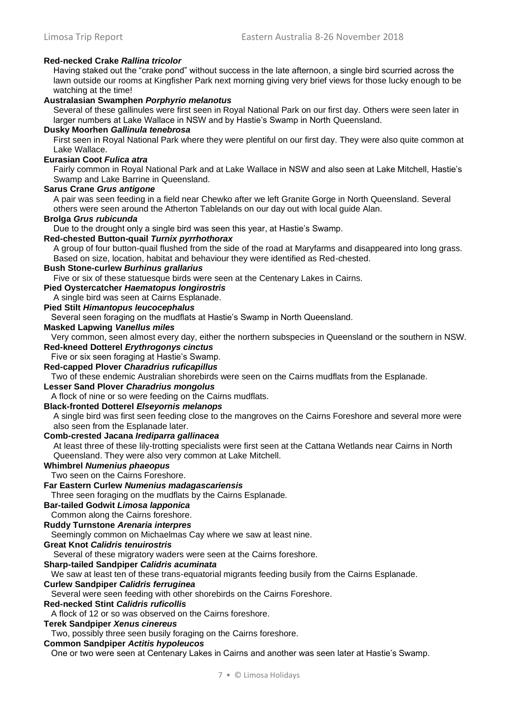### **Red-necked Crake** *Rallina tricolor*

Having staked out the "crake pond" without success in the late afternoon, a single bird scurried across the lawn outside our rooms at Kingfisher Park next morning giving very brief views for those lucky enough to be watching at the time!

### **Australasian Swamphen** *Porphyrio melanotus*

Several of these gallinules were first seen in Royal National Park on our first day. Others were seen later in larger numbers at Lake Wallace in NSW and by Hastie's Swamp in North Queensland.

#### **Dusky Moorhen** *Gallinula tenebrosa*

First seen in Royal National Park where they were plentiful on our first day. They were also quite common at Lake Wallace.

#### **Eurasian Coot** *Fulica atra*

Fairly common in Royal National Park and at Lake Wallace in NSW and also seen at Lake Mitchell, Hastie's Swamp and Lake Barrine in Queensland.

#### **Sarus Crane** *Grus antigone*

A pair was seen feeding in a field near Chewko after we left Granite Gorge in North Queensland. Several others were seen around the Atherton Tablelands on our day out with local guide Alan.

#### **Brolga** *Grus rubicunda*

Due to the drought only a single bird was seen this year, at Hastie's Swamp.

#### **Red-chested Button-quail** *Turnix pyrrhothorax*

A group of four button-quail flushed from the side of the road at Maryfarms and disappeared into long grass. Based on size, location, habitat and behaviour they were identified as Red-chested.

### **Bush Stone-curlew** *Burhinus grallarius*

Five or six of these statuesque birds were seen at the Centenary Lakes in Cairns.

**Pied Oystercatcher** *Haematopus longirostris*

### A single bird was seen at Cairns Esplanade.

### **Pied Stilt** *Himantopus leucocephalus*

Several seen foraging on the mudflats at Hastie's Swamp in North Queensland.

#### **Masked Lapwing** *Vanellus miles*

Very common, seen almost every day, either the northern subspecies in Queensland or the southern in NSW. **Red-kneed Dotterel** *Erythrogonys cinctus*

#### Five or six seen foraging at Hastie's Swamp.

**Red-capped Plover** *Charadrius ruficapillus*

Two of these endemic Australian shorebirds were seen on the Cairns mudflats from the Esplanade.

#### **Lesser Sand Plover** *Charadrius mongolus*

A flock of nine or so were feeding on the Cairns mudflats.

#### **Black-fronted Dotterel** *Elseyornis melanops*

A single bird was first seen feeding close to the mangroves on the Cairns Foreshore and several more were also seen from the Esplanade later.

#### **Comb-crested Jacana** *Irediparra gallinacea*

At least three of these lily-trotting specialists were first seen at the Cattana Wetlands near Cairns in North Queensland. They were also very common at Lake Mitchell.

### **Whimbrel** *Numenius phaeopus*

Two seen on the Cairns Foreshore.

### **Far Eastern Curlew** *Numenius madagascariensis*

Three seen foraging on the mudflats by the Cairns Esplanade.

### **Bar-tailed Godwit** *Limosa lapponica*

Common along the Cairns foreshore.

#### **Ruddy Turnstone** *Arenaria interpres*

Seemingly common on Michaelmas Cay where we saw at least nine.

#### **Great Knot** *Calidris tenuirostris*

Several of these migratory waders were seen at the Cairns foreshore.

#### **Sharp-tailed Sandpiper** *Calidris acuminata*

We saw at least ten of these trans-equatorial migrants feeding busily from the Cairns Esplanade.

#### **Curlew Sandpiper** *Calidris ferruginea*

Several were seen feeding with other shorebirds on the Cairns Foreshore.

#### **Red-necked Stint** *Calidris ruficollis*

A flock of 12 or so was observed on the Cairns foreshore.

### **Terek Sandpiper** *Xenus cinereus*

Two, possibly three seen busily foraging on the Cairns foreshore.

### **Common Sandpiper** *Actitis hypoleucos*

One or two were seen at Centenary Lakes in Cairns and another was seen later at Hastie's Swamp.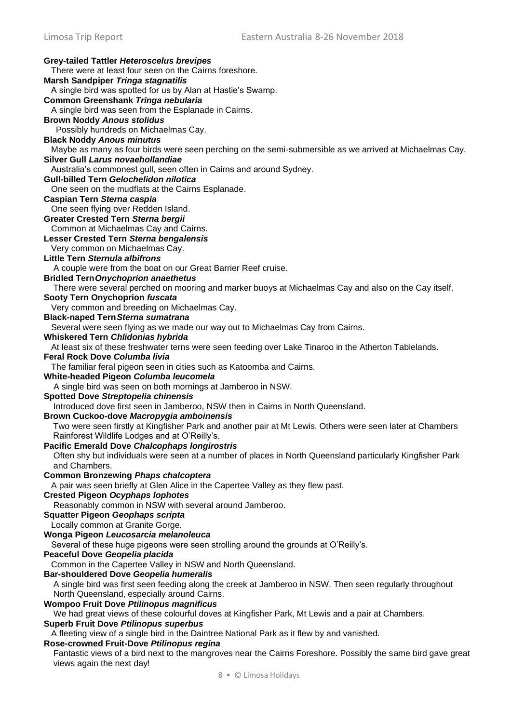**Grey-tailed Tattler** *Heteroscelus brevipes*  There were at least four seen on the Cairns foreshore. **Marsh Sandpiper** *Tringa stagnatilis* A single bird was spotted for us by Alan at Hastie's Swamp. **Common Greenshank** *Tringa nebularia* A single bird was seen from the Esplanade in Cairns. **Brown Noddy** *Anous stolidus*  Possibly hundreds on Michaelmas Cay. **Black Noddy** *Anous minutus* Maybe as many as four birds were seen perching on the semi-submersible as we arrived at Michaelmas Cay. **Silver Gull** *Larus novaehollandiae*  Australia's commonest gull, seen often in Cairns and around Sydney. **Gull-billed Tern** *Gelochelidon nilotica*  One seen on the mudflats at the Cairns Esplanade. **Caspian Tern** *Sterna caspia*  One seen flying over Redden Island. **Greater Crested Tern** *Sterna bergii*  Common at Michaelmas Cay and Cairns. **Lesser Crested Tern** *Sterna bengalensis*  Very common on Michaelmas Cay. **Little Tern** *Sternula albifrons*  A couple were from the boat on our Great Barrier Reef cruise. **Bridled Tern***Onychoprion anaethetus* There were several perched on mooring and marker buoys at Michaelmas Cay and also on the Cay itself. **Sooty Tern Onychoprion** *fuscata*  Very common and breeding on Michaelmas Cay. **Black-naped Tern***Sterna sumatrana* Several were seen flying as we made our way out to Michaelmas Cay from Cairns. **Whiskered Tern** *Chlidonias hybrida* At least six of these freshwater terns were seen feeding over Lake Tinaroo in the Atherton Tablelands. **Feral Rock Dove** *Columba livia*  The familiar feral pigeon seen in cities such as Katoomba and Cairns. **White-headed Pigeon** *Columba leucomela*  A single bird was seen on both mornings at Jamberoo in NSW. **Spotted Dove** *Streptopelia chinensis*  Introduced dove first seen in Jamberoo, NSW then in Cairns in North Queensland. **Brown Cuckoo-dove** *Macropygia amboinensis*  Two were seen firstly at Kingfisher Park and another pair at Mt Lewis. Others were seen later at Chambers Rainforest Wildlife Lodges and at O'Reilly's. **Pacific Emerald Dove** *Chalcophaps longirostris*  Often shy but individuals were seen at a number of places in North Queensland particularly Kingfisher Park and Chambers. **Common Bronzewing** *Phaps chalcoptera* A pair was seen briefly at Glen Alice in the Capertee Valley as they flew past. **Crested Pigeon** *Ocyphaps lophotes*  Reasonably common in NSW with several around Jamberoo. **Squatter Pigeon** *Geophaps scripta*  Locally common at Granite Gorge. **Wonga Pigeon** *Leucosarcia melanoleuca* Several of these huge pigeons were seen strolling around the grounds at O'Reilly's. **Peaceful Dove** *Geopelia placida*  Common in the Capertee Valley in NSW and North Queensland. **Bar-shouldered Dove** *Geopelia humeralis*  A single bird was first seen feeding along the creek at Jamberoo in NSW. Then seen regularly throughout North Queensland, especially around Cairns. **Wompoo Fruit Dove** *Ptilinopus magnificus*  We had great views of these colourful doves at Kingfisher Park, Mt Lewis and a pair at Chambers. **Superb Fruit Dove** *Ptilinopus superbus* A fleeting view of a single bird in the Daintree National Park as it flew by and vanished. **Rose-crowned Fruit-Dove** *Ptilinopus regina* Fantastic views of a bird next to the mangroves near the Cairns Foreshore. Possibly the same bird gave great views again the next day!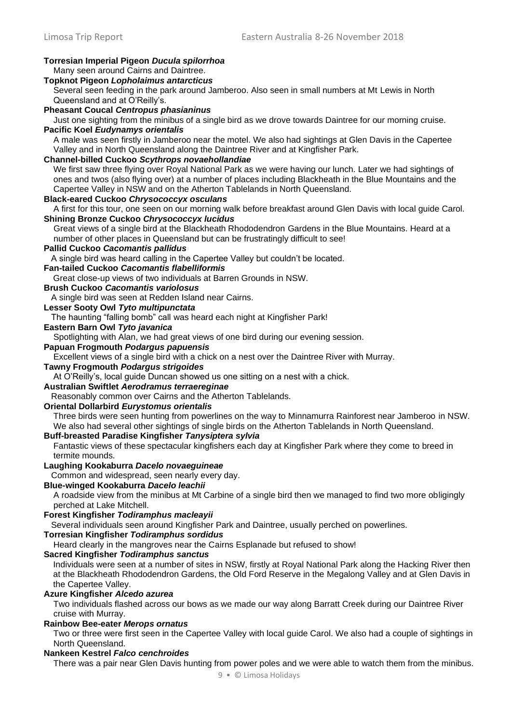#### **Torresian Imperial Pigeon** *Ducula spilorrhoa*  Many seen around Cairns and Daintree. **Topknot Pigeon** *Lopholaimus antarcticus*  Several seen feeding in the park around Jamberoo. Also seen in small numbers at Mt Lewis in North Queensland and at O'Reilly's. **Pheasant Coucal** *Centropus phasianinus*  Just one sighting from the minibus of a single bird as we drove towards Daintree for our morning cruise. **Pacific Koel** *Eudynamys orientalis* A male was seen firstly in Jamberoo near the motel. We also had sightings at Glen Davis in the Capertee Valley and in North Queensland along the Daintree River and at Kingfisher Park. **Channel-billed Cuckoo** *Scythrops novaehollandiae* We first saw three flying over Royal National Park as we were having our lunch. Later we had sightings of ones and twos (also flying over) at a number of places including Blackheath in the Blue Mountains and the Capertee Valley in NSW and on the Atherton Tablelands in North Queensland. **Black-eared Cuckoo** *Chrysococcyx osculans* A first for this tour, one seen on our morning walk before breakfast around Glen Davis with local guide Carol. **Shining Bronze Cuckoo** *Chrysococcyx lucidus*  Great views of a single bird at the Blackheath Rhododendron Gardens in the Blue Mountains. Heard at a number of other places in Queensland but can be frustratingly difficult to see! **Pallid Cuckoo** *Cacomantis pallidus* A single bird was heard calling in the Capertee Valley but couldn't be located. **Fan-tailed Cuckoo** *Cacomantis flabelliformis*  Great close-up views of two individuals at Barren Grounds in NSW. **Brush Cuckoo** *Cacomantis variolosus* A single bird was seen at Redden Island near Cairns. **Lesser Sooty Owl** *Tyto multipunctata* The haunting "falling bomb" call was heard each night at Kingfisher Park! **Eastern Barn Owl** *Tyto javanica* Spotlighting with Alan, we had great views of one bird during our evening session. **Papuan Frogmouth** *Podargus papuensis*  Excellent views of a single bird with a chick on a nest over the Daintree River with Murray. **Tawny Frogmouth** *Podargus strigoides*  At O'Reilly's, local guide Duncan showed us one sitting on a nest with a chick. **Australian Swiftlet** *Aerodramus terraereginae*  Reasonably common over Cairns and the Atherton Tablelands. **Oriental Dollarbird** *Eurystomus orientalis*  Three birds were seen hunting from powerlines on the way to Minnamurra Rainforest near Jamberoo in NSW. We also had several other sightings of single birds on the Atherton Tablelands in North Queensland. **Buff-breasted Paradise Kingfisher** *Tanysiptera sylvia* Fantastic views of these spectacular kingfishers each day at Kingfisher Park where they come to breed in termite mounds. **Laughing Kookaburra** *Dacelo novaeguineae*  Common and widespread, seen nearly every day. **Blue-winged Kookaburra** *Dacelo leachii* A roadside view from the minibus at Mt Carbine of a single bird then we managed to find two more obligingly perched at Lake Mitchell. **Forest Kingfisher** *Todiramphus macleayii*  Several individuals seen around Kingfisher Park and Daintree, usually perched on powerlines. **Torresian Kingfisher** *Todiramphus sordidus*  Heard clearly in the mangroves near the Cairns Esplanade but refused to show! **Sacred Kingfisher** *Todiramphus sanctus*  Individuals were seen at a number of sites in NSW, firstly at Royal National Park along the Hacking River then at the Blackheath Rhododendron Gardens, the Old Ford Reserve in the Megalong Valley and at Glen Davis in the Capertee Valley. **Azure Kingfisher** *Alcedo azurea*  Two individuals flashed across our bows as we made our way along Barratt Creek during our Daintree River cruise with Murray. **Rainbow Bee-eater** *Merops ornatus*  Two or three were first seen in the Capertee Valley with local guide Carol. We also had a couple of sightings in North Queensland. **Nankeen Kestrel** *Falco cenchroides*  There was a pair near Glen Davis hunting from power poles and we were able to watch them from the minibus.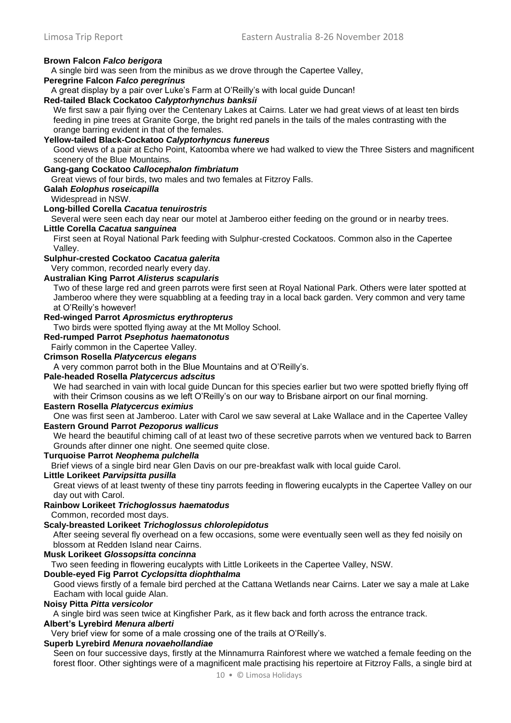#### **Brown Falcon** *Falco berigora*

A single bird was seen from the minibus as we drove through the Capertee Valley,

**Peregrine Falcon** *Falco peregrinus*

A great display by a pair over Luke's Farm at O'Reilly's with local guide Duncan!

### **Red-tailed Black Cockatoo** *Calyptorhynchus banksii*

We first saw a pair flying over the Centenary Lakes at Cairns. Later we had great views of at least ten birds feeding in pine trees at Granite Gorge, the bright red panels in the tails of the males contrasting with the orange barring evident in that of the females.

#### **Yellow-tailed Black-Cockatoo** *Calyptorhyncus funereus*

Good views of a pair at Echo Point, Katoomba where we had walked to view the Three Sisters and magnificent scenery of the Blue Mountains.

#### **Gang-gang Cockatoo** *Callocephalon fimbriatum*

Great views of four birds, two males and two females at Fitzroy Falls.

### **Galah** *Eolophus roseicapilla*

Widespread in NSW.

### **Long-billed Corella** *Cacatua tenuirostris*

Several were seen each day near our motel at Jamberoo either feeding on the ground or in nearby trees.

#### **Little Corella** *Cacatua sanguinea*

First seen at Royal National Park feeding with Sulphur-crested Cockatoos. Common also in the Capertee Valley.

### **Sulphur-crested Cockatoo** *Cacatua galerita*

Very common, recorded nearly every day.

### **Australian King Parrot** *Alisterus scapularis*

Two of these large red and green parrots were first seen at Royal National Park. Others were later spotted at Jamberoo where they were squabbling at a feeding tray in a local back garden. Very common and very tame at O'Reilly's however!

### **Red-winged Parrot** *Aprosmictus erythropterus*

Two birds were spotted flying away at the Mt Molloy School.

#### **Red-rumped Parrot** *Psephotus haematonotus*

Fairly common in the Capertee Valley.

### **Crimson Rosella** *Platycercus elegans*

A very common parrot both in the Blue Mountains and at O'Reilly's.

### **Pale-headed Rosella** *Platycercus adscitus*

We had searched in vain with local guide Duncan for this species earlier but two were spotted briefly flying off with their Crimson cousins as we left O'Reilly's on our way to Brisbane airport on our final morning.

#### **Eastern Rosella** *Platycercus eximius*

One was first seen at Jamberoo. Later with Carol we saw several at Lake Wallace and in the Capertee Valley **Eastern Ground Parrot** *Pezoporus wallicus*

We heard the beautiful chiming call of at least two of these secretive parrots when we ventured back to Barren Grounds after dinner one night. One seemed quite close.

### **Turquoise Parrot** *Neophema pulchella*

Brief views of a single bird near Glen Davis on our pre-breakfast walk with local guide Carol.

### **Little Lorikeet** *Parvipsitta pusilla*

Great views of at least twenty of these tiny parrots feeding in flowering eucalypts in the Capertee Valley on our day out with Carol.

#### **Rainbow Lorikeet** *Trichoglossus haematodus*

Common, recorded most days.

#### **Scaly-breasted Lorikeet** *Trichoglossus chlorolepidotus*

After seeing several fly overhead on a few occasions, some were eventually seen well as they fed noisily on blossom at Redden Island near Cairns.

#### **Musk Lorikeet** *Glossopsitta concinna*

Two seen feeding in flowering eucalypts with Little Lorikeets in the Capertee Valley, NSW.

### **Double-eyed Fig Parrot** *Cyclopsitta diophthalma*

Good views firstly of a female bird perched at the Cattana Wetlands near Cairns. Later we say a male at Lake Eacham with local guide Alan.

#### **Noisy Pitta** *Pitta versicolor*

A single bird was seen twice at Kingfisher Park, as it flew back and forth across the entrance track.

#### **Albert's Lyrebird** *Menura alberti*

Very brief view for some of a male crossing one of the trails at O'Reilly's.

#### **Superb Lyrebird** *Menura novaehollandiae*

Seen on four successive days, firstly at the Minnamurra Rainforest where we watched a female feeding on the forest floor. Other sightings were of a magnificent male practising his repertoire at Fitzroy Falls, a single bird at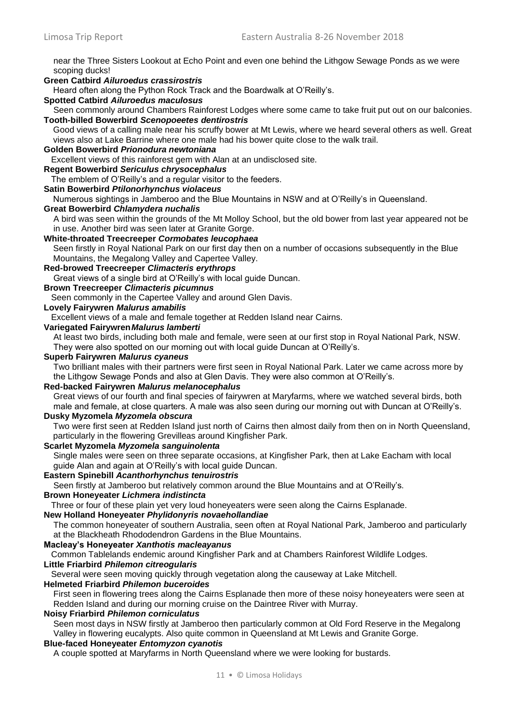near the Three Sisters Lookout at Echo Point and even one behind the Lithgow Sewage Ponds as we were scoping ducks!

### **Green Catbird** *Ailuroedus crassirostris*

Heard often along the Python Rock Track and the Boardwalk at O'Reilly's.

### **Spotted Catbird** *Ailuroedus maculosus*

Seen commonly around Chambers Rainforest Lodges where some came to take fruit put out on our balconies. **Tooth-billed Bowerbird** *Scenopoeetes dentirostris* 

Good views of a calling male near his scruffy bower at Mt Lewis, where we heard several others as well. Great views also at Lake Barrine where one male had his bower quite close to the walk trail.

#### **Golden Bowerbird** *Prionodura newtoniana*

Excellent views of this rainforest gem with Alan at an undisclosed site.

### **Regent Bowerbird** *Sericulus chrysocephalus*

The emblem of O'Reilly's and a regular visitor to the feeders.

### **Satin Bowerbird** *Ptilonorhynchus violaceus*

Numerous sightings in Jamberoo and the Blue Mountains in NSW and at O'Reilly's in Queensland.

#### **Great Bowerbird** *Chlamydera nuchalis*

A bird was seen within the grounds of the Mt Molloy School, but the old bower from last year appeared not be in use. Another bird was seen later at Granite Gorge.

#### **White-throated Treecreeper** *Cormobates leucophaea*

Seen firstly in Royal National Park on our first day then on a number of occasions subsequently in the Blue Mountains, the Megalong Valley and Capertee Valley.

#### **Red-browed Treecreeper** *Climacteris erythrops*

Great views of a single bird at O'Reilly's with local guide Duncan.

### **Brown Treecreeper** *Climacteris picumnus*

Seen commonly in the Capertee Valley and around Glen Davis.

### **Lovely Fairywren** *Malurus amabilis*

Excellent views of a male and female together at Redden Island near Cairns.

#### **Variegated Fairywren***Malurus lamberti*

At least two birds, including both male and female, were seen at our first stop in Royal National Park, NSW. They were also spotted on our morning out with local guide Duncan at O'Reilly's.

#### **Superb Fairywren** *Malurus cyaneus*

Two brilliant males with their partners were first seen in Royal National Park. Later we came across more by the Lithgow Sewage Ponds and also at Glen Davis. They were also common at O'Reilly's.

#### **Red-backed Fairywren** *Malurus melanocephalus*

Great views of our fourth and final species of fairywren at Maryfarms, where we watched several birds, both male and female, at close quarters. A male was also seen during our morning out with Duncan at O'Reilly's.

#### **Dusky Myzomela** *Myzomela obscura*

Two were first seen at Redden Island just north of Cairns then almost daily from then on in North Queensland, particularly in the flowering Grevilleas around Kingfisher Park.

#### **Scarlet Myzomela** *Myzomela sanguinolenta*

Single males were seen on three separate occasions, at Kingfisher Park, then at Lake Eacham with local guide Alan and again at O'Reilly's with local guide Duncan.

### **Eastern Spinebill** *Acanthorhynchus tenuirostris*

Seen firstly at Jamberoo but relatively common around the Blue Mountains and at O'Reilly's.

#### **Brown Honeyeater** *Lichmera indistincta*

Three or four of these plain yet very loud honeyeaters were seen along the Cairns Esplanade.

### **New Holland Honeyeater** *Phylidonyris novaehollandiae*

The common honeyeater of southern Australia, seen often at Royal National Park, Jamberoo and particularly at the Blackheath Rhododendron Gardens in the Blue Mountains.

#### **Macleay's Honeyeater** *Xanthotis macleayanus*

Common Tablelands endemic around Kingfisher Park and at Chambers Rainforest Wildlife Lodges.

#### **Little Friarbird** *Philemon citreogularis*

Several were seen moving quickly through vegetation along the causeway at Lake Mitchell.

#### **Helmeted Friarbird** *Philemon buceroides*

First seen in flowering trees along the Cairns Esplanade then more of these noisy honeyeaters were seen at Redden Island and during our morning cruise on the Daintree River with Murray.

#### **Noisy Friarbird** *Philemon corniculatus*

Seen most days in NSW firstly at Jamberoo then particularly common at Old Ford Reserve in the Megalong Valley in flowering eucalypts. Also quite common in Queensland at Mt Lewis and Granite Gorge.

### **Blue-faced Honeyeater** *Entomyzon cyanotis*

A couple spotted at Maryfarms in North Queensland where we were looking for bustards.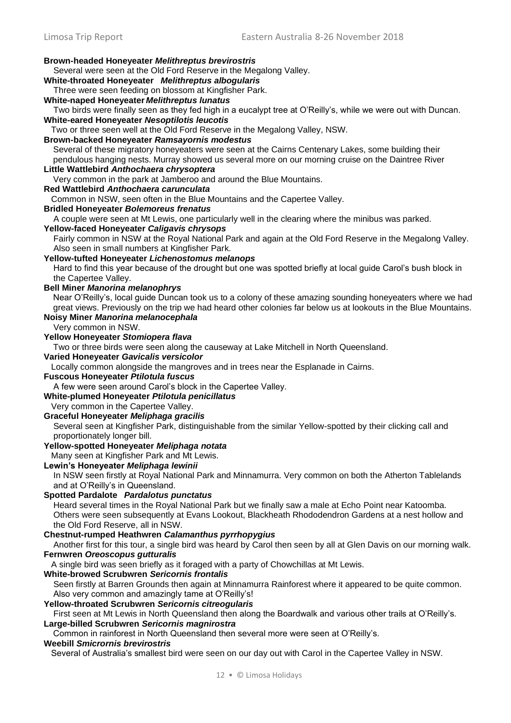Limosa Trip Report Eastern Australia 8-26 November 2018 **Brown-headed Honeyeater** *Melithreptus brevirostris* Several were seen at the Old Ford Reserve in the Megalong Valley. **White-throated Honeyeater** *Melithreptus albogularis* Three were seen feeding on blossom at Kingfisher Park. **White-naped Honeyeater** *Melithreptus lunatus* Two birds were finally seen as they fed high in a eucalypt tree at O'Reilly's, while we were out with Duncan. **White-eared Honeyeater** *Nesoptilotis leucotis* Two or three seen well at the Old Ford Reserve in the Megalong Valley, NSW. **Brown-backed Honeyeater** *Ramsayornis modestus*  Several of these migratory honeyeaters were seen at the Cairns Centenary Lakes, some building their pendulous hanging nests. Murray showed us several more on our morning cruise on the Daintree River **Little Wattlebird** *Anthochaera chrysoptera*  Very common in the park at Jamberoo and around the Blue Mountains. **Red Wattlebird** *Anthochaera carunculata*  Common in NSW, seen often in the Blue Mountains and the Capertee Valley. **Bridled Honeyeater** *Bolemoreus frenatus* A couple were seen at Mt Lewis, one particularly well in the clearing where the minibus was parked. **Yellow-faced Honeyeater** *Caligavis chrysops*  Fairly common in NSW at the Royal National Park and again at the Old Ford Reserve in the Megalong Valley. Also seen in small numbers at Kingfisher Park. **Yellow-tufted Honeyeater** *Lichenostomus melanops* Hard to find this year because of the drought but one was spotted briefly at local guide Carol's bush block in the Capertee Valley. **Bell Miner** *Manorina melanophrys*  Near O'Reilly's, local guide Duncan took us to a colony of these amazing sounding honeyeaters where we had great views. Previously on the trip we had heard other colonies far below us at lookouts in the Blue Mountains. **Noisy Miner** *Manorina melanocephala*  Very common in NSW. **Yellow Honeyeater** *Stomiopera flava*  Two or three birds were seen along the causeway at Lake Mitchell in North Queensland. **Varied Honeyeater** *Gavicalis versicolor* Locally common alongside the mangroves and in trees near the Esplanade in Cairns. **Fuscous Honeyeater** *Ptilotula fuscus*  A few were seen around Carol's block in the Capertee Valley. **White-plumed Honeyeater** *Ptilotula penicillatus*  Very common in the Capertee Valley. **Graceful Honeyeater** *Meliphaga gracilis*  Several seen at Kingfisher Park, distinguishable from the similar Yellow-spotted by their clicking call and proportionately longer bill. **Yellow-spotted Honeyeater** *Meliphaga notata* Many seen at Kingfisher Park and Mt Lewis. **Lewin's Honeyeater** *Meliphaga lewinii*  In NSW seen firstly at Royal National Park and Minnamurra. Very common on both the Atherton Tablelands and at O'Reilly's in Queensland. **Spotted Pardalote** *Pardalotus punctatus* Heard several times in the Royal National Park but we finally saw a male at Echo Point near Katoomba. Others were seen subsequently at Evans Lookout, Blackheath Rhododendron Gardens at a nest hollow and the Old Ford Reserve, all in NSW. **Chestnut-rumped Heathwren** *Calamanthus pyrrhopygius* Another first for this tour, a single bird was heard by Carol then seen by all at Glen Davis on our morning walk. **Fernwren** *Oreoscopus gutturalis* A single bird was seen briefly as it foraged with a party of Chowchillas at Mt Lewis. **White-browed Scrubwren** *Sericornis frontalis*  Seen firstly at Barren Grounds then again at Minnamurra Rainforest where it appeared to be quite common. Also very common and amazingly tame at O'Reilly's! **Yellow-throated Scrubwren** *Sericornis citreogularis*  First seen at Mt Lewis in North Queensland then along the Boardwalk and various other trails at O'Reilly's. **Large-billed Scrubwren** *Sericornis magnirostra*  Common in rainforest in North Queensland then several more were seen at O'Reilly's. **Weebill** *Smicrornis brevirostris* Several of Australia's smallest bird were seen on our day out with Carol in the Capertee Valley in NSW.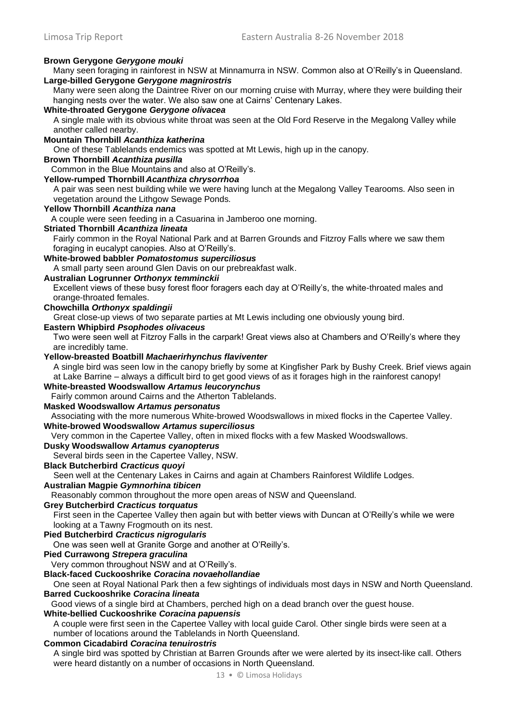### **Brown Gerygone** *Gerygone mouki*

Many seen foraging in rainforest in NSW at Minnamurra in NSW. Common also at O'Reilly's in Queensland. **Large-billed Gerygone** *Gerygone magnirostris* 

Many were seen along the Daintree River on our morning cruise with Murray, where they were building their hanging nests over the water. We also saw one at Cairns' Centenary Lakes.

#### **White-throated Gerygone** *Gerygone olivacea*

A single male with its obvious white throat was seen at the Old Ford Reserve in the Megalong Valley while another called nearby.

#### **Mountain Thornbill** *Acanthiza katherina*

One of these Tablelands endemics was spotted at Mt Lewis, high up in the canopy.

### **Brown Thornbill** *Acanthiza pusilla*

Common in the Blue Mountains and also at O'Reilly's.

### **Yellow-rumped Thornbill** *Acanthiza chrysorrhoa*

A pair was seen nest building while we were having lunch at the Megalong Valley Tearooms. Also seen in vegetation around the Lithgow Sewage Ponds.

#### **Yellow Thornbill** *Acanthiza nana*

A couple were seen feeding in a Casuarina in Jamberoo one morning.

#### **Striated Thornbill** *Acanthiza lineata*

Fairly common in the Royal National Park and at Barren Grounds and Fitzroy Falls where we saw them foraging in eucalypt canopies. Also at O'Reilly's.

### **White-browed babbler** *Pomatostomus superciliosus*

A small party seen around Glen Davis on our prebreakfast walk.

### **Australian Logrunner** *Orthonyx temminckii*

Excellent views of these busy forest floor foragers each day at O'Reilly's, the white-throated males and orange-throated females.

#### **Chowchilla** *Orthonyx spaldingii*

Great close-up views of two separate parties at Mt Lewis including one obviously young bird.

### **Eastern Whipbird** *Psophodes olivaceus*

Two were seen well at Fitzroy Falls in the carpark! Great views also at Chambers and O'Reilly's where they are incredibly tame.

#### **Yellow-breasted Boatbill** *Machaerirhynchus flaviventer*

A single bird was seen low in the canopy briefly by some at Kingfisher Park by Bushy Creek. Brief views again at Lake Barrine – always a difficult bird to get good views of as it forages high in the rainforest canopy!

### **White-breasted Woodswallow** *Artamus leucorynchus*

Fairly common around Cairns and the Atherton Tablelands.

#### **Masked Woodswallow** *Artamus personatus*

Associating with the more numerous White-browed Woodswallows in mixed flocks in the Capertee Valley. **White-browed Woodswallow** *Artamus superciliosus*

Very common in the Capertee Valley, often in mixed flocks with a few Masked Woodswallows.

### **Dusky Woodswallow** *Artamus cyanopterus*

Several birds seen in the Capertee Valley, NSW.

### **Black Butcherbird** *Cracticus quoyi*

Seen well at the Centenary Lakes in Cairns and again at Chambers Rainforest Wildlife Lodges.

### **Australian Magpie** *Gymnorhina tibicen*

Reasonably common throughout the more open areas of NSW and Queensland.

### **Grey Butcherbird** *Cracticus torquatus*

First seen in the Capertee Valley then again but with better views with Duncan at O'Reilly's while we were looking at a Tawny Frogmouth on its nest.

### **Pied Butcherbird** *Cracticus nigrogularis*

One was seen well at Granite Gorge and another at O'Reilly's.

### **Pied Currawong** *Strepera graculina*

Very common throughout NSW and at O'Reilly's.

### **Black-faced Cuckooshrike** *Coracina novaehollandiae*

One seen at Royal National Park then a few sightings of individuals most days in NSW and North Queensland. **Barred Cuckooshrike** *Coracina lineata*

### Good views of a single bird at Chambers, perched high on a dead branch over the guest house.

### **White-bellied Cuckooshrike** *Coracina papuensis*

A couple were first seen in the Capertee Valley with local guide Carol. Other single birds were seen at a number of locations around the Tablelands in North Queensland.

### **Common Cicadabird** *Coracina tenuirostris*

A single bird was spotted by Christian at Barren Grounds after we were alerted by its insect-like call. Others were heard distantly on a number of occasions in North Queensland.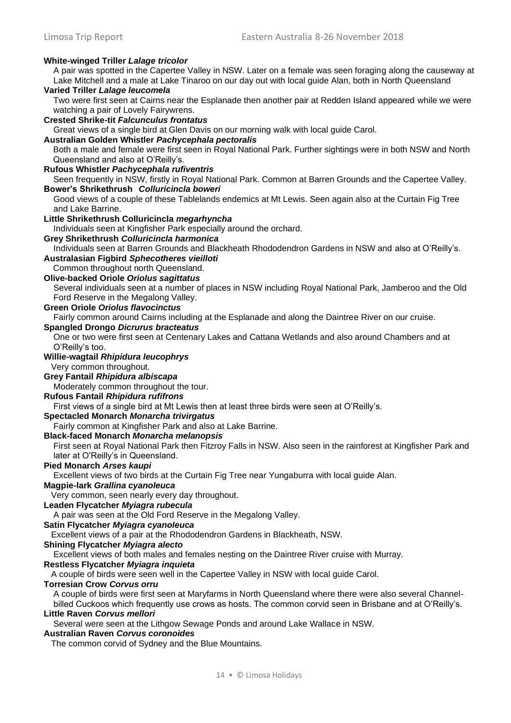### **White-winged Triller** *Lalage tricolor*

A pair was spotted in the Capertee Valley in NSW. Later on a female was seen foraging along the causeway at Lake Mitchell and a male at Lake Tinaroo on our day out with local guide Alan, both in North Queensland

## **Varied Triller** *Lalage leucomela*

Two were first seen at Cairns near the Esplanade then another pair at Redden Island appeared while we were watching a pair of Lovely Fairywrens.

#### **Crested Shrike-tit** *Falcunculus frontatus*

Great views of a single bird at Glen Davis on our morning walk with local guide Carol.

#### **Australian Golden Whistler** *Pachycephala pectoralis*

Both a male and female were first seen in Royal National Park. Further sightings were in both NSW and North Queensland and also at O'Reilly's.

### **Rufous Whistler** *Pachycephala rufiventris*

Seen frequently in NSW, firstly in Royal National Park. Common at Barren Grounds and the Capertee Valley. **Bower's Shrikethrush** *Colluricincla boweri*

Good views of a couple of these Tablelands endemics at Mt Lewis. Seen again also at the Curtain Fig Tree and Lake Barrine.

#### **Little Shrikethrush Colluricincla** *megarhyncha*

Individuals seen at Kingfisher Park especially around the orchard.

#### **Grey Shrikethrush** *Colluricincla harmonica*

Individuals seen at Barren Grounds and Blackheath Rhododendron Gardens in NSW and also at O'Reilly's. **Australasian Figbird** *Sphecotheres vieilloti* 

#### Common throughout north Queensland.

**Olive-backed Oriole** *Oriolus sagittatus* 

Several individuals seen at a number of places in NSW including Royal National Park, Jamberoo and the Old Ford Reserve in the Megalong Valley.

#### **Green Oriole** *Oriolus flavocinctus*

Fairly common around Cairns including at the Esplanade and along the Daintree River on our cruise.

#### **Spangled Drongo** *Dicrurus bracteatus*

One or two were first seen at Centenary Lakes and Cattana Wetlands and also around Chambers and at O'Reilly's too.

### **Willie-wagtail** *Rhipidura leucophrys*

Very common throughout.

### **Grey Fantail** *Rhipidura albiscapa*

Moderately common throughout the tour.

### **Rufous Fantail** *Rhipidura rufifrons*

First views of a single bird at Mt Lewis then at least three birds were seen at O'Reilly's.

### **Spectacled Monarch** *Monarcha trivirgatus*

Fairly common at Kingfisher Park and also at Lake Barrine.

**Black-faced Monarch** *Monarcha melanopsis* 

First seen at Royal National Park then Fitzroy Falls in NSW. Also seen in the rainforest at Kingfisher Park and later at O'Reilly's in Queensland.

### **Pied Monarch** *Arses kaupi*

Excellent views of two birds at the Curtain Fig Tree near Yungaburra with local guide Alan.

### **Magpie-lark** *Grallina cyanoleuca*

Very common, seen nearly every day throughout.

### **Leaden Flycatcher** *Myiagra rubecula*

A pair was seen at the Old Ford Reserve in the Megalong Valley.

#### **Satin Flycatcher** *Myiagra cyanoleuca*

Excellent views of a pair at the Rhododendron Gardens in Blackheath, NSW.

#### **Shining Flycatcher** *Myiagra alecto*

Excellent views of both males and females nesting on the Daintree River cruise with Murray.

#### **Restless Flycatcher** *Myiagra inquieta*

A couple of birds were seen well in the Capertee Valley in NSW with local guide Carol.

#### **Torresian Crow** *Corvus orru*

A couple of birds were first seen at Maryfarms in North Queensland where there were also several Channelbilled Cuckoos which frequently use crows as hosts. The common corvid seen in Brisbane and at O'Reilly's.

#### **Little Raven** *Corvus mellori*

Several were seen at the Lithgow Sewage Ponds and around Lake Wallace in NSW.

#### **Australian Raven** *Corvus coronoides*

The common corvid of Sydney and the Blue Mountains.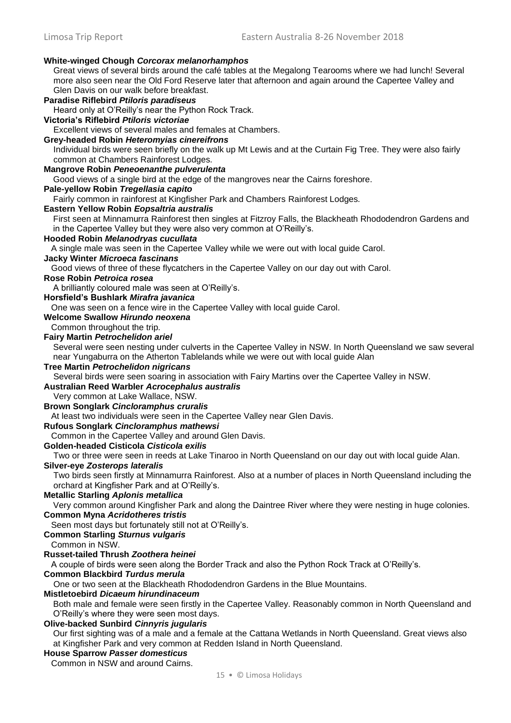### **White-winged Chough** *Corcorax melanorhamphos*

Great views of several birds around the café tables at the Megalong Tearooms where we had lunch! Several more also seen near the Old Ford Reserve later that afternoon and again around the Capertee Valley and Glen Davis on our walk before breakfast.

### **Paradise Riflebird** *Ptiloris paradiseus*

Heard only at O'Reilly's near the Python Rock Track.

### **Victoria's Riflebird** *Ptiloris victoriae*

Excellent views of several males and females at Chambers.

#### **Grey-headed Robin** *Heteromyias cinereifrons*

Individual birds were seen briefly on the walk up Mt Lewis and at the Curtain Fig Tree. They were also fairly common at Chambers Rainforest Lodges.

#### **Mangrove Robin** *Peneoenanthe pulverulenta*

Good views of a single bird at the edge of the mangroves near the Cairns foreshore.

### **Pale-yellow Robin** *Tregellasia capito*

Fairly common in rainforest at Kingfisher Park and Chambers Rainforest Lodges.

#### **Eastern Yellow Robin** *Eopsaltria australis*

First seen at Minnamurra Rainforest then singles at Fitzroy Falls, the Blackheath Rhododendron Gardens and in the Capertee Valley but they were also very common at O'Reilly's.

#### **Hooded Robin** *Melanodryas cucullata*

A single male was seen in the Capertee Valley while we were out with local guide Carol.

### **Jacky Winter** *Microeca fascinans*

Good views of three of these flycatchers in the Capertee Valley on our day out with Carol.

### **Rose Robin** *Petroica rosea*

A brilliantly coloured male was seen at O'Reilly's.

**Horsfield's Bushlark** *Mirafra javanica*

One was seen on a fence wire in the Capertee Valley with local guide Carol.

### **Welcome Swallow** *Hirundo neoxena*

Common throughout the trip.

#### **Fairy Martin** *Petrochelidon ariel*

Several were seen nesting under culverts in the Capertee Valley in NSW. In North Queensland we saw several near Yungaburra on the Atherton Tablelands while we were out with local guide Alan

### **Tree Martin** *Petrochelidon nigricans*

Several birds were seen soaring in association with Fairy Martins over the Capertee Valley in NSW.

### **Australian Reed Warbler** *Acrocephalus australis*

Very common at Lake Wallace, NSW.

#### **Brown Songlark** *Cincloramphus cruralis*

At least two individuals were seen in the Capertee Valley near Glen Davis.

#### **Rufous Songlark** *Cincloramphus mathewsi*

Common in the Capertee Valley and around Glen Davis.

### **Golden-headed Cisticola** *Cisticola exilis*

Two or three were seen in reeds at Lake Tinaroo in North Queensland on our day out with local guide Alan.

#### **Silver-eye** *Zosterops lateralis*

Two birds seen firstly at Minnamurra Rainforest. Also at a number of places in North Queensland including the orchard at Kingfisher Park and at O'Reilly's.

### **Metallic Starling** *Aplonis metallica*

Very common around Kingfisher Park and along the Daintree River where they were nesting in huge colonies. **Common Myna** *Acridotheres tristis*

#### Seen most days but fortunately still not at O'Reilly's.

#### **Common Starling** *Sturnus vulgaris*

Common in NSW.

#### **Russet-tailed Thrush** *Zoothera heinei*

A couple of birds were seen along the Border Track and also the Python Rock Track at O'Reilly's.

#### **Common Blackbird** *Turdus merula*

One or two seen at the Blackheath Rhododendron Gardens in the Blue Mountains.

### **Mistletoebird** *Dicaeum hirundinaceum*

Both male and female were seen firstly in the Capertee Valley. Reasonably common in North Queensland and O'Reilly's where they were seen most days.

### **Olive-backed Sunbird** *Cinnyris jugularis*

Our first sighting was of a male and a female at the Cattana Wetlands in North Queensland. Great views also at Kingfisher Park and very common at Redden Island in North Queensland.

### **House Sparrow** *Passer domesticus*

Common in NSW and around Cairns.